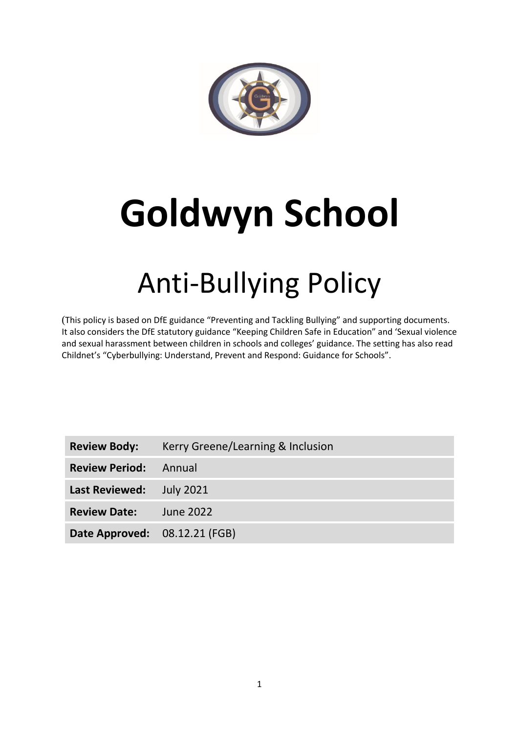

# **Goldwyn School**

# Anti-Bullying Policy

(This policy is based on DfE guidance "Preventing and Tackling Bullying" and supporting documents. It also considers the DfE statutory guidance "Keeping Children Safe in Education" and 'Sexual violence and sexual harassment between children in schools and colleges' guidance. The setting has also read Childnet's "Cyberbullying: Understand, Prevent and Respond: Guidance for Schools".

| <b>Review Body:</b>           | Kerry Greene/Learning & Inclusion |
|-------------------------------|-----------------------------------|
| <b>Review Period:</b> Annual  |                                   |
| Last Reviewed: July 2021      |                                   |
| <b>Review Date:</b> June 2022 |                                   |
| Date Approved: 08.12.21 (FGB) |                                   |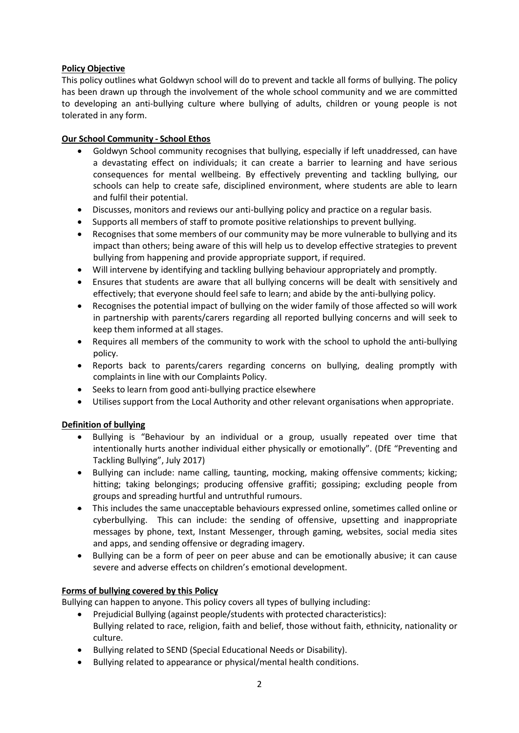# **Policy Objective**

This policy outlines what Goldwyn school will do to prevent and tackle all forms of bullying. The policy has been drawn up through the involvement of the whole school community and we are committed to developing an anti-bullying culture where bullying of adults, children or young people is not tolerated in any form.

# **Our School Community - School Ethos**

- Goldwyn School community recognises that bullying, especially if left unaddressed, can have a devastating effect on individuals; it can create a barrier to learning and have serious consequences for mental wellbeing. By effectively preventing and tackling bullying, our schools can help to create safe, disciplined environment, where students are able to learn and fulfil their potential.
- Discusses, monitors and reviews our anti-bullying policy and practice on a regular basis.
- Supports all members of staff to promote positive relationships to prevent bullying.
- Recognises that some members of our community may be more vulnerable to bullying and its impact than others; being aware of this will help us to develop effective strategies to prevent bullying from happening and provide appropriate support, if required.
- Will intervene by identifying and tackling bullying behaviour appropriately and promptly.
- Ensures that students are aware that all bullying concerns will be dealt with sensitively and effectively; that everyone should feel safe to learn; and abide by the anti-bullying policy.
- Recognises the potential impact of bullying on the wider family of those affected so will work in partnership with parents/carers regarding all reported bullying concerns and will seek to keep them informed at all stages.
- Requires all members of the community to work with the school to uphold the anti-bullying policy.
- Reports back to parents/carers regarding concerns on bullying, dealing promptly with complaints in line with our Complaints Policy.
- Seeks to learn from good anti-bullying practice elsewhere
- Utilises support from the Local Authority and other relevant organisations when appropriate.

# **Definition of bullying**

- Bullying is "Behaviour by an individual or a group, usually repeated over time that intentionally hurts another individual either physically or emotionally". (DfE "Preventing and Tackling Bullying", July 2017)
- Bullying can include: name calling, taunting, mocking, making offensive comments; kicking; hitting; taking belongings; producing offensive graffiti; gossiping; excluding people from groups and spreading hurtful and untruthful rumours.
- This includes the same unacceptable behaviours expressed online, sometimes called online or cyberbullying. This can include: the sending of offensive, upsetting and inappropriate messages by phone, text, Instant Messenger, through gaming, websites, social media sites and apps, and sending offensive or degrading imagery.
- Bullying can be a form of peer on peer abuse and can be emotionally abusive; it can cause severe and adverse effects on children's emotional development.

# **Forms of bullying covered by this Policy**

Bullying can happen to anyone. This policy covers all types of bullying including:

- Prejudicial Bullying (against people/students with protected characteristics): Bullying related to race, religion, faith and belief, those without faith, ethnicity, nationality or culture.
- Bullying related to SEND (Special Educational Needs or Disability).
- Bullying related to appearance or physical/mental health conditions.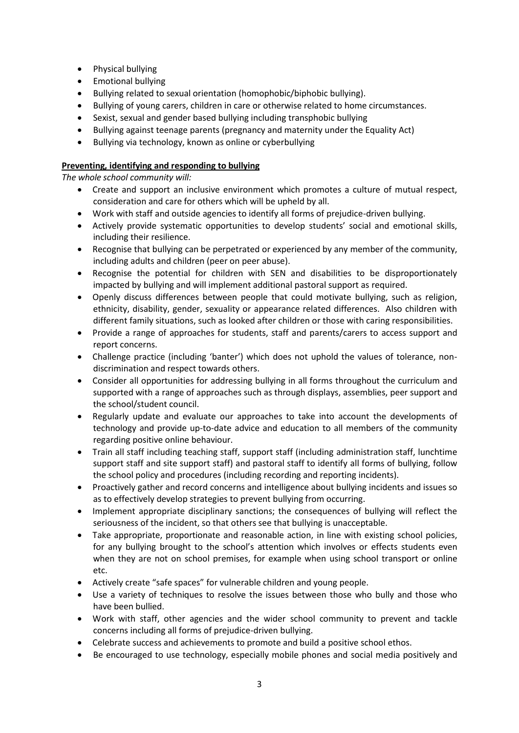- Physical bullying
- Emotional bullying
- Bullying related to sexual orientation (homophobic/biphobic bullying).
- Bullying of young carers, children in care or otherwise related to home circumstances.
- Sexist, sexual and gender based bullying including transphobic bullying
- Bullying against teenage parents (pregnancy and maternity under the Equality Act)
- Bullying via technology, known as online or cyberbullying

# **Preventing, identifying and responding to bullying**

*The whole school community will:*

- Create and support an inclusive environment which promotes a culture of mutual respect, consideration and care for others which will be upheld by all.
- Work with staff and outside agencies to identify all forms of prejudice-driven bullying.
- Actively provide systematic opportunities to develop students' social and emotional skills, including their resilience.
- Recognise that bullying can be perpetrated or experienced by any member of the community, including adults and children (peer on peer abuse).
- Recognise the potential for children with SEN and disabilities to be disproportionately impacted by bullying and will implement additional pastoral support as required.
- Openly discuss differences between people that could motivate bullying, such as religion, ethnicity, disability, gender, sexuality or appearance related differences. Also children with different family situations, such as looked after children or those with caring responsibilities.
- Provide a range of approaches for students, staff and parents/carers to access support and report concerns.
- Challenge practice (including 'banter') which does not uphold the values of tolerance, nondiscrimination and respect towards others.
- Consider all opportunities for addressing bullying in all forms throughout the curriculum and supported with a range of approaches such as through displays, assemblies, peer support and the school/student council.
- Regularly update and evaluate our approaches to take into account the developments of technology and provide up-to-date advice and education to all members of the community regarding positive online behaviour.
- Train all staff including teaching staff, support staff (including administration staff, lunchtime support staff and site support staff) and pastoral staff to identify all forms of bullying, follow the school policy and procedures (including recording and reporting incidents).
- Proactively gather and record concerns and intelligence about bullying incidents and issues so as to effectively develop strategies to prevent bullying from occurring.
- Implement appropriate disciplinary sanctions; the consequences of bullying will reflect the seriousness of the incident, so that others see that bullying is unacceptable.
- Take appropriate, proportionate and reasonable action, in line with existing school policies, for any bullying brought to the school's attention which involves or effects students even when they are not on school premises, for example when using school transport or online etc.
- Actively create "safe spaces" for vulnerable children and young people.
- Use a variety of techniques to resolve the issues between those who bully and those who have been bullied.
- Work with staff, other agencies and the wider school community to prevent and tackle concerns including all forms of prejudice-driven bullying.
- Celebrate success and achievements to promote and build a positive school ethos.
- Be encouraged to use technology, especially mobile phones and social media positively and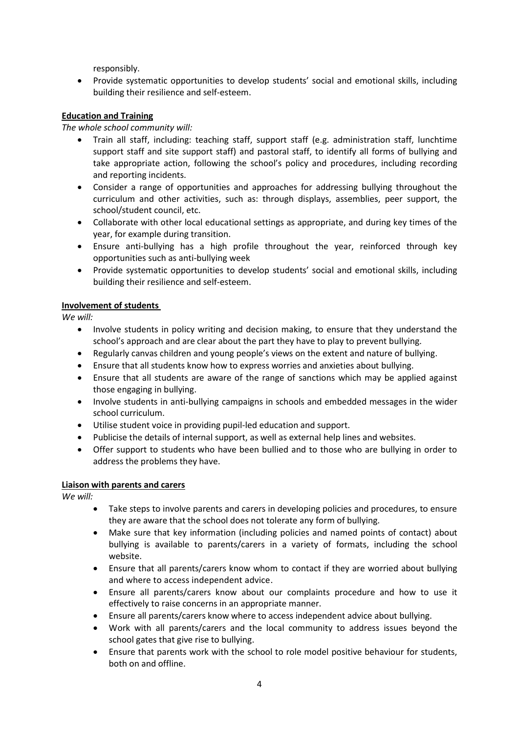responsibly.

 Provide systematic opportunities to develop students' social and emotional skills, including building their resilience and self-esteem.

#### **Education and Training**

#### *The whole school community will:*

- Train all staff, including: teaching staff, support staff (e.g. administration staff, lunchtime support staff and site support staff) and pastoral staff, to identify all forms of bullying and take appropriate action, following the school's policy and procedures, including recording and reporting incidents.
- Consider a range of opportunities and approaches for addressing bullying throughout the curriculum and other activities, such as: through displays, assemblies, peer support, the school/student council, etc.
- Collaborate with other local educational settings as appropriate, and during key times of the year, for example during transition.
- Ensure anti-bullying has a high profile throughout the year, reinforced through key opportunities such as anti-bullying week
- Provide systematic opportunities to develop students' social and emotional skills, including building their resilience and self-esteem.

#### **Involvement of students**

*We will:*

- Involve students in policy writing and decision making, to ensure that they understand the school's approach and are clear about the part they have to play to prevent bullying.
- Regularly canvas children and young people's views on the extent and nature of bullying.
- Ensure that all students know how to express worries and anxieties about bullying.
- Ensure that all students are aware of the range of sanctions which may be applied against those engaging in bullying.
- Involve students in anti-bullying campaigns in schools and embedded messages in the wider school curriculum.
- Utilise student voice in providing pupil-led education and support.
- Publicise the details of internal support, as well as external help lines and websites.
- Offer support to students who have been bullied and to those who are bullying in order to address the problems they have.

#### **Liaison with parents and carers**

*We will:*

- Take steps to involve parents and carers in developing policies and procedures, to ensure they are aware that the school does not tolerate any form of bullying.
- Make sure that key information (including policies and named points of contact) about bullying is available to parents/carers in a variety of formats, including the school website.
- Ensure that all parents/carers know whom to contact if they are worried about bullying and where to access independent advice.
- Ensure all parents/carers know about our complaints procedure and how to use it effectively to raise concerns in an appropriate manner.
- Ensure all parents/carers know where to access independent advice about bullying.
- Work with all parents/carers and the local community to address issues beyond the school gates that give rise to bullying.
- Ensure that parents work with the school to role model positive behaviour for students, both on and offline.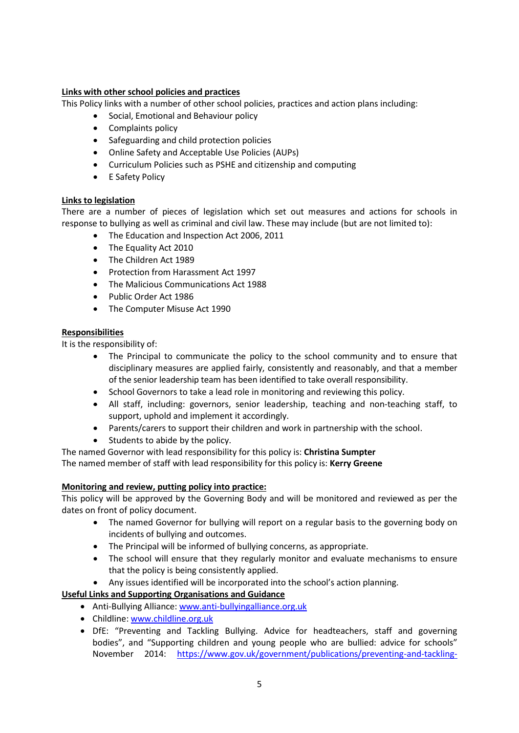#### **Links with other school policies and practices**

This Policy links with a number of other school policies, practices and action plans including:

- Social, Emotional and Behaviour policy
- Complaints policy
- Safeguarding and child protection policies
- Online Safety and Acceptable Use Policies (AUPs)
- Curriculum Policies such as PSHE and citizenship and computing
- E Safety Policy

# **Links to legislation**

There are a number of pieces of legislation which set out measures and actions for schools in response to bullying as well as criminal and civil law. These may include (but are not limited to):

- The Education and Inspection Act 2006, 2011
- The Equality Act 2010
- The Children Act 1989
- Protection from Harassment Act 1997
- The Malicious Communications Act 1988
- Public Order Act 1986
- The Computer Misuse Act 1990

#### **Responsibilities**

It is the responsibility of:

- The Principal to communicate the policy to the school community and to ensure that disciplinary measures are applied fairly, consistently and reasonably, and that a member of the senior leadership team has been identified to take overall responsibility.
- School Governors to take a lead role in monitoring and reviewing this policy.
- All staff, including: governors, senior leadership, teaching and non-teaching staff, to support, uphold and implement it accordingly.
- Parents/carers to support their children and work in partnership with the school.
- Students to abide by the policy.
- The named Governor with lead responsibility for this policy is: **Christina Sumpter**

The named member of staff with lead responsibility for this policy is: **Kerry Greene**

# **Monitoring and review, putting policy into practice:**

This policy will be approved by the Governing Body and will be monitored and reviewed as per the dates on front of policy document.

- The named Governor for bullying will report on a regular basis to the governing body on incidents of bullying and outcomes.
- The Principal will be informed of bullying concerns, as appropriate.
- The school will ensure that they regularly monitor and evaluate mechanisms to ensure that the policy is being consistently applied.
- Any issues identified will be incorporated into the school's action planning.

**Useful Links and Supporting Organisations and Guidance**

- Anti-Bullying Alliance: [www.anti-bullyingalliance.org.uk](http://www.anti-bullyingalliance.org.uk/)
- Childline: [www.childline.org.uk](http://www.childline.org.uk/)
- DfE: "Preventing and Tackling Bullying. Advice for headteachers, staff and governing bodies", and "[Supporting children](https://www.gov.uk/government/uploads/system/uploads/attachment_data/file/292505/supporting_bullied_children_advice.pdf) and young people who are bullied: advice for schools" November 2014: [https://www.gov.uk/government/publications/preventing-and-tackling-](https://www.gov.uk/government/publications/preventing-and-tackling-bullying)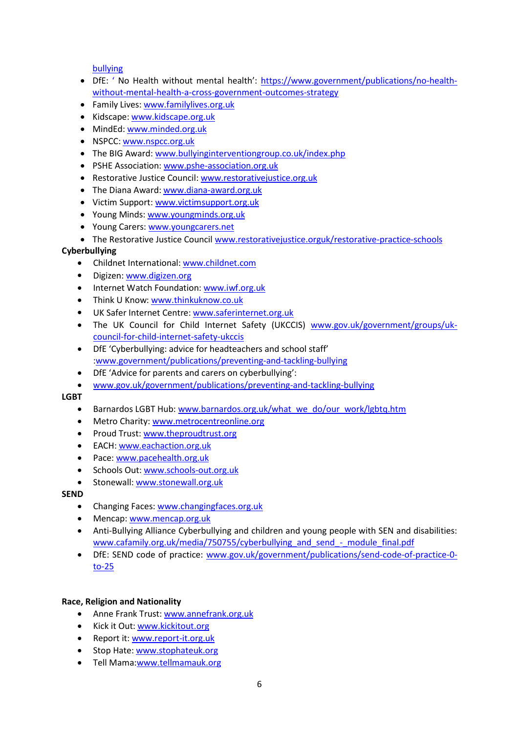[bullying](https://www.gov.uk/government/publications/preventing-and-tackling-bullying)

- DfE: ' No Health without mental health': [https://www.government/publications/no-health](https://www.government/publications/no-health-without-mental-health-a-cross-government-outcomes-strategy)[without-mental-health-a-cross-government-outcomes-strategy](https://www.government/publications/no-health-without-mental-health-a-cross-government-outcomes-strategy)
- Family Lives: [www.familylives.org.uk](http://www.familylives.org.uk/)
- Kidscape: [www.kidscape.org.uk](http://www.kidscape.org.uk/)
- MindEd: [www.minded.org.uk](http://www.minded.org.uk/)
- NSPCC: [www.nspcc.org.uk](http://www.nspcc.org.uk/)
- The BIG Award: [www.bullyinginterventiongroup.co.uk/index.php](https://www.bullyinginterventiongroup.co.uk/index.php)
- PSHE Association: [www.pshe-association.org.uk](http://www.pshe-association.org.uk/)
- Restorative Justice Council[: www.restorativejustice.org.uk](http://www.restorativejustice.org.uk/)
- The Diana Award[: www.diana-award.org.uk](http://www.diana-award.org.uk/)
- Victim Support: [www.victimsupport.org.uk](http://www.victimsupport.org.uk/)
- Young Minds[: www.youngminds.org.uk](http://www.youngminds.org.uk/)
- Young Carers: [www.youngcarers.net](http://www.youngcarers.net/)
- The Restorative Justice Counci[l www.restorativejustice.orguk/restorative-practice-schools](http://www.restorativejustice.orguk/restorative-practice-schools)

# **Cyberbullying**

- Childnet International: [www.childnet.com](http://www.childnet.com/)
- Digizen[: www.digizen.org](http://www.digizen.org/)
- Internet Watch Foundation[: www.iwf.org.uk](http://www.iwf.org.uk/)
- Think U Know[: www.thinkuknow.co.uk](http://www.thinkuknow.co.uk/)
- UK Safer Internet Centre[: www.saferinternet.org.uk](http://www.saferinternet.org.uk/)
- The UK Council for Child Internet Safety (UKCCIS) [www.gov.uk/government/groups/uk](http://www.gov.uk/government/groups/uk-council-for-child-internet-safety-ukccis)[council-for-child-internet-safety-ukccis](http://www.gov.uk/government/groups/uk-council-for-child-internet-safety-ukccis)
- DfE 'Cyberbullying: advice for headteachers and school staff' [:www.government/publications/preventing-and-tackling-bullying](http://www.government/publications/preventing-and-tackling-bullying)
- DfE 'Advice for parents and carers on cyberbullying':
- [www.gov.uk/government/publications/preventing-and-tackling-bullying](http://www.gov.uk/government/publications/preventing-and-tackling-bullying)

# **LGBT**

- Barnardos LGBT Hub[: www.barnardos.org.uk/what\\_we\\_do/our\\_work/lgbtq.htm](http://www.barnardos.org.uk/what_we_do/our_work/lgbtq.htm)
- Metro Charity: [www.metrocentreonline.org](http://www.metrocentreonline.org/)
- Proud Trust[: www.theproudtrust.org](http://www.theproudtrust.org/)
- EACH[: www.eachaction.org.uk](http://www.eachaction.org.uk/)
- Pace: [www.pacehealth.org.uk](http://www.pacehealth.org.uk/)
- Schools Out: [www.schools-out.org.uk](http://www.schools-out.org.uk/)
- Stonewall: [www.stonewall.org.uk](http://www.stonewall.org.uk/)

# **SEND**

- Changing Faces: [www.changingfaces.org.uk](http://www.changingfaces.org.uk/)
- Mencap[: www.mencap.org.uk](http://www.mencap.org.uk/)
- Anti-Bullying Alliance Cyberbullying and children and young people with SEN and disabilities: www.cafamily.org.uk/media/750755/cyberbullying and send - module final.pdf
- DfE: SEND code of practice: [www.gov.uk/government/publications/send-code-of-practice-0](https://www.gov.uk/government/publications/send-code-of-practice-0-to-25) [to-25](https://www.gov.uk/government/publications/send-code-of-practice-0-to-25)

# **Race, Religion and Nationality**

- Anne Frank Trust[: www.annefrank.org.uk](http://www.annefrank.org.uk/)
- Kick it Out: [www.kickitout.org](http://www.kickitout.org/)
- Report it: [www.report-it.org.uk](http://www.report-it.org.uk/)
- Stop Hate: [www.stophateuk.org](http://www.stophateuk.org/)
- Tell Mama[:www.tellmamauk.org](http://www.tellmamauk.org/)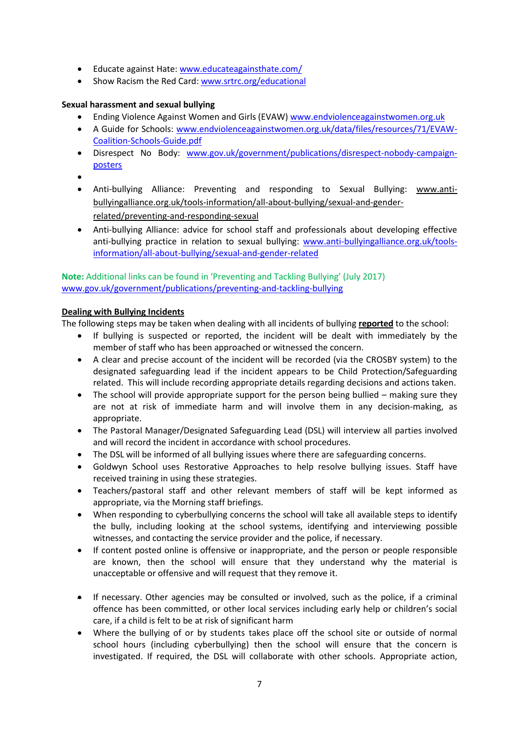- Educate against Hate: [www.educateagainsthate.com/](http://www.educateagainsthate.com/)
- Show Racism the Red Card: [www.srtrc.org/educational](http://www.srtrc.org/educational)

#### **Sexual harassment and sexual bullying**

- Ending Violence Against Women and Girls (EVAW) [www.endviolenceagainstwomen.org.uk](http://www.endviolenceagainstwomen.org.uk/)
- A Guide for Schools: [www.endviolenceagainstwomen.org.uk/data/files/resources/71/EVAW-](http://www.endviolenceagainstwomen.org.uk/data/files/resources/71/EVAW-Coalition-Schools-Guide.pdf)[Coalition-Schools-Guide.pdf](http://www.endviolenceagainstwomen.org.uk/data/files/resources/71/EVAW-Coalition-Schools-Guide.pdf)
- Disrespect No Body: [www.gov.uk/government/publications/disrespect-nobody-campaign](http://www.gov.uk/government/publications/disrespect-nobody-campaign-posters)[posters](http://www.gov.uk/government/publications/disrespect-nobody-campaign-posters)
- $\bullet$
- Anti-bullying Alliance: Preventing and responding to Sexual Bullying: [www.anti](https://www.anti-bullyingalliance.org.uk/tools-information/all-about-bullying/sexual-and-gender-related/preventing-and-responding-sexual)[bullyingalliance.org.uk/tools-information/all-about-bullying/sexual-and-gender](https://www.anti-bullyingalliance.org.uk/tools-information/all-about-bullying/sexual-and-gender-related/preventing-and-responding-sexual)[related/preventing-and-responding-sexual](https://www.anti-bullyingalliance.org.uk/tools-information/all-about-bullying/sexual-and-gender-related/preventing-and-responding-sexual)
- Anti-bullying Alliance: advice for school staff and professionals about developing effective anti-bullying practice in relation to sexual bullying: [www.anti-bullyingalliance.org.uk/tools](https://www.anti-bullyingalliance.org.uk/tools-information/all-about-bullying/sexual-and-gender-related)[information/all-about-bullying/sexual-and-gender-related](https://www.anti-bullyingalliance.org.uk/tools-information/all-about-bullying/sexual-and-gender-related)

# **Note:** Additional links can be found in 'Preventing and Tackling Bullying' (July 2017) [www.gov.uk/government/publications/preventing-and-tackling-bullying](http://www.gov.uk/government/publications/preventing-and-tackling-bullying)

#### **Dealing with Bullying Incidents**

The following steps may be taken when dealing with all incidents of bullying **reported** to the school:

- If bullying is suspected or reported, the incident will be dealt with immediately by the member of staff who has been approached or witnessed the concern.
- A clear and precise account of the incident will be recorded (via the CROSBY system) to the designated safeguarding lead if the incident appears to be Child Protection/Safeguarding related. This will include recording appropriate details regarding decisions and actions taken.
- The school will provide appropriate support for the person being bullied making sure they are not at risk of immediate harm and will involve them in any decision-making, as appropriate.
- The Pastoral Manager/Designated Safeguarding Lead (DSL) will interview all parties involved and will record the incident in accordance with school procedures.
- The DSL will be informed of all bullying issues where there are safeguarding concerns.
- Goldwyn School uses Restorative Approaches to help resolve bullying issues. Staff have received training in using these strategies.
- Teachers/pastoral staff and other relevant members of staff will be kept informed as appropriate, via the Morning staff briefings.
- When responding to cyberbullying concerns the school will take all available steps to identify the bully, including looking at the school systems, identifying and interviewing possible witnesses, and contacting the service provider and the police, if necessary.
- If content posted online is offensive or inappropriate, and the person or people responsible are known, then the school will ensure that they understand why the material is unacceptable or offensive and will request that they remove it.
- If necessary. Other agencies may be consulted or involved, such as the police, if a criminal offence has been committed, or other local services including early help or children's social care, if a child is felt to be at risk of significant harm
- Where the bullying of or by students takes place off the school site or outside of normal school hours (including cyberbullying) then the school will ensure that the concern is investigated. If required, the DSL will collaborate with other schools. Appropriate action,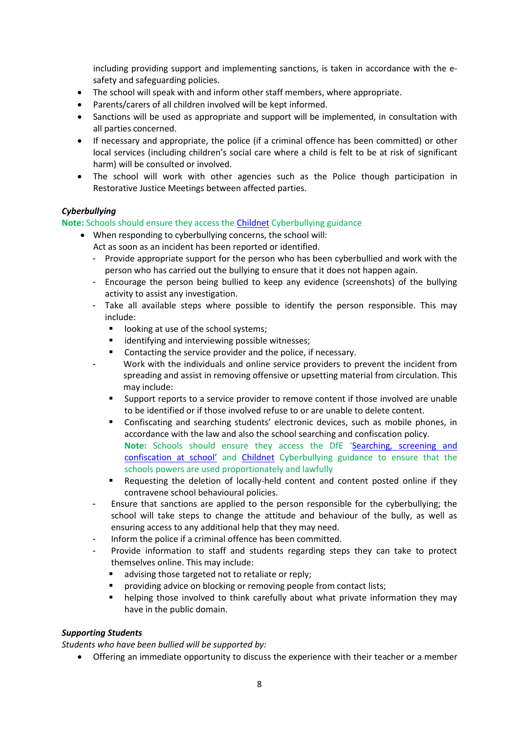including providing support and implementing sanctions, is taken in accordance with the esafety and safeguarding policies.

- The school will speak with and inform other staff members, where appropriate.
- Parents/carers of all children involved will be kept informed.
- Sanctions will be used as appropriate and support will be implemented, in consultation with all parties concerned.
- If necessary and appropriate, the police (if a criminal offence has been committed) or other local services (including children's social care where a child is felt to be at risk of significant harm) will be consulted or involved.
- The school will work with other agencies such as the Police though participation in Restorative Justice Meetings between affected parties.

# *Cyberbullying*

#### **Note:** Schools should ensure they access the [Childnet](http://www.childnet.com/resources/cyberbullying-guidance-for-schools) Cyberbullying guidance

- When responding to cyberbullying concerns, the school will:
	- Act as soon as an incident has been reported or identified.
	- Provide appropriate support for the person who has been cyberbullied and work with the person who has carried out the bullying to ensure that it does not happen again.
	- Encourage the person being bullied to keep any evidence (screenshots) of the bullying activity to assist any investigation.
	- Take all available steps where possible to identify the person responsible. This may include:
		- **IDOMIGUARE:** looking at use of the school systems;
		- **If** identifying and interviewing possible witnesses;
		- Contacting the service provider and the police, if necessary.
		- Work with the individuals and online service providers to prevent the incident from spreading and assist in removing offensive or upsetting material from circulation. This may include:
			- Support reports to a service provider to remove content if those involved are unable to be identified or if those involved refuse to or are unable to delete content.
			- Confiscating and searching students' electronic devices, such as mobile phones, in accordance with the law and also the school searching and confiscation policy. **Note:** Schools should ensure they access the DfE '[Searching, screening and](https://www.gov.uk/government/publications/searching-screening-and-confiscation)  [confiscation at school'](https://www.gov.uk/government/publications/searching-screening-and-confiscation) and [Childnet](http://www.childnet.com/resources/cyberbullying-guidance-for-schools) Cyberbullying guidance to ensure that the schools powers are used proportionately and lawfully
			- Requesting the deletion of locally-held content and content posted online if they contravene school behavioural policies.
	- Ensure that sanctions are applied to the person responsible for the cyberbullying; the school will take steps to change the attitude and behaviour of the bully, as well as ensuring access to any additional help that they may need.
	- Inform the police if a criminal offence has been committed.
	- Provide information to staff and students regarding steps they can take to protect themselves online. This may include:
		- advising those targeted not to retaliate or reply;
		- providing advice on blocking or removing people from contact lists;
		- helping those involved to think carefully about what private information they may have in the public domain.

# *Supporting Students*

*Students who have been bullied will be supported by:*

Offering an immediate opportunity to discuss the experience with their teacher or a member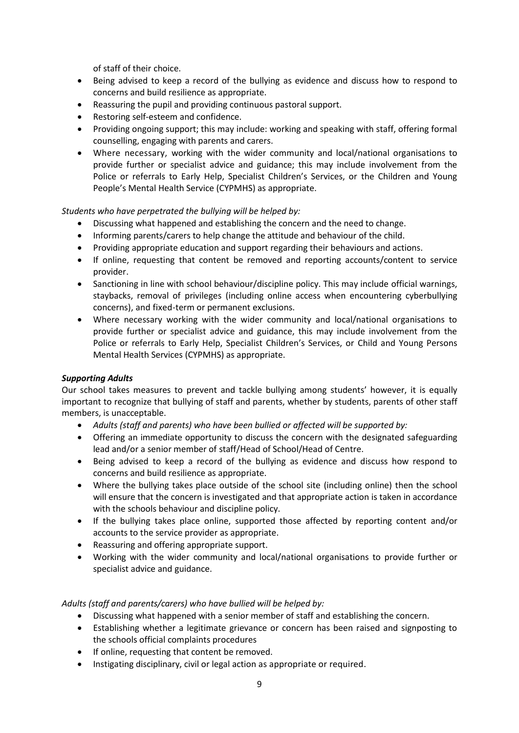of staff of their choice.

- Being advised to keep a record of the bullying as evidence and discuss how to respond to concerns and build resilience as appropriate.
- Reassuring the pupil and providing continuous pastoral support.
- Restoring self-esteem and confidence.
- Providing ongoing support; this may include: working and speaking with staff, offering formal counselling, engaging with parents and carers.
- Where necessary, working with the wider community and local/national organisations to provide further or specialist advice and guidance; this may include involvement from the Police or referrals to Early Help, Specialist Children's Services, or the Children and Young People's Mental Health Service (CYPMHS) as appropriate.

#### *Students who have perpetrated the bullying will be helped by:*

- Discussing what happened and establishing the concern and the need to change.
- Informing parents/carers to help change the attitude and behaviour of the child.
- Providing appropriate education and support regarding their behaviours and actions.
- If online, requesting that content be removed and reporting accounts/content to service provider.
- Sanctioning in line with school behaviour/discipline policy. This may include official warnings, staybacks, removal of privileges (including online access when encountering cyberbullying concerns), and fixed-term or permanent exclusions.
- Where necessary working with the wider community and local/national organisations to provide further or specialist advice and guidance, this may include involvement from the Police or referrals to Early Help, Specialist Children's Services, or Child and Young Persons Mental Health Services (CYPMHS) as appropriate.

#### *Supporting Adults*

Our school takes measures to prevent and tackle bullying among students' however, it is equally important to recognize that bullying of staff and parents, whether by students, parents of other staff members, is unacceptable.

- *Adults (staff and parents) who have been bullied or affected will be supported by:*
- Offering an immediate opportunity to discuss the concern with the designated safeguarding lead and/or a senior member of staff/Head of School/Head of Centre.
- Being advised to keep a record of the bullying as evidence and discuss how respond to concerns and build resilience as appropriate.
- Where the bullying takes place outside of the school site (including online) then the school will ensure that the concern is investigated and that appropriate action is taken in accordance with the schools behaviour and discipline policy.
- If the bullying takes place online, supported those affected by reporting content and/or accounts to the service provider as appropriate.
- Reassuring and offering appropriate support.
- Working with the wider community and local/national organisations to provide further or specialist advice and guidance.

#### *Adults (staff and parents/carers) who have bullied will be helped by:*

- Discussing what happened with a senior member of staff and establishing the concern.
- Establishing whether a legitimate grievance or concern has been raised and signposting to the schools official complaints procedures
- If online, requesting that content be removed.
- Instigating disciplinary, civil or legal action as appropriate or required.